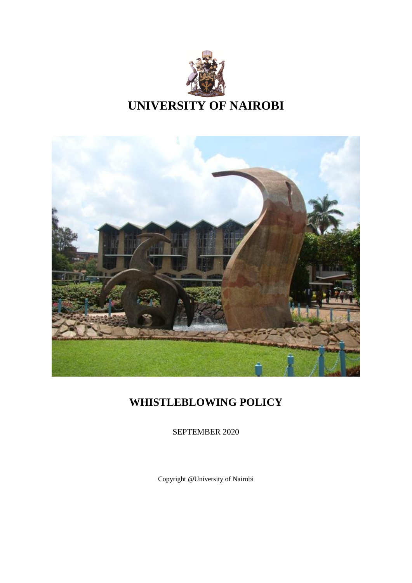



# **WHISTLEBLOWING POLICY**

SEPTEMBER 2020

Copyright @University of Nairobi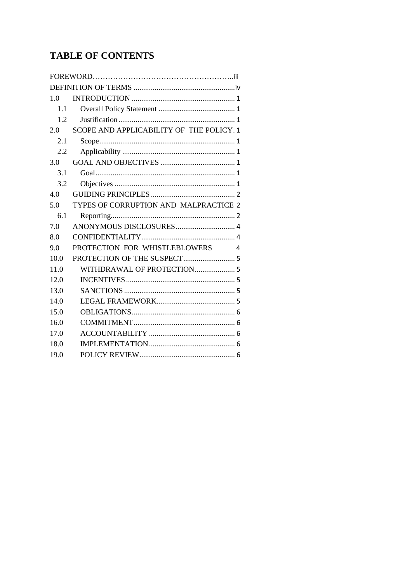# **TABLE OF CONTENTS**

| 1.0  |                                          |  |
|------|------------------------------------------|--|
| 1.1  |                                          |  |
| 1.2  |                                          |  |
| 2.0  | SCOPE AND APPLICABILITY OF THE POLICY. 1 |  |
| 2.1  |                                          |  |
| 2.2  |                                          |  |
| 3.0  |                                          |  |
| 3.1  |                                          |  |
| 3.2  |                                          |  |
| 4.0  |                                          |  |
| 5.0  | TYPES OF CORRUPTION AND MALPRACTICE 2    |  |
| 6.1  |                                          |  |
| 7.0  |                                          |  |
| 8.0  |                                          |  |
| 9.0  | PROTECTION FOR WHISTLEBLOWERS 4          |  |
| 10.0 |                                          |  |
| 11.0 | WITHDRAWAL OF PROTECTION 5               |  |
| 12.0 |                                          |  |
| 13.0 |                                          |  |
| 14.0 |                                          |  |
| 15.0 |                                          |  |
| 16.0 |                                          |  |
| 17.0 |                                          |  |
| 18.0 |                                          |  |
| 19.0 |                                          |  |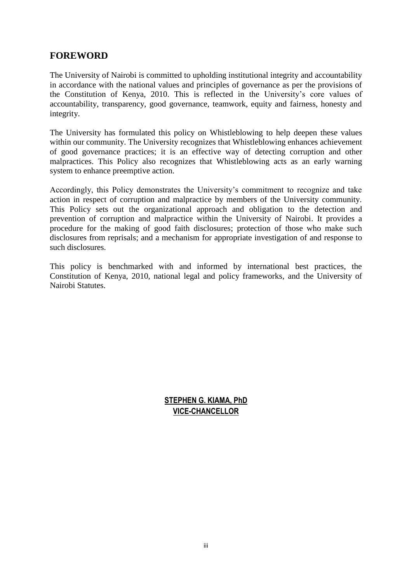### <span id="page-2-0"></span>**FOREWORD**

The University of Nairobi is committed to upholding institutional integrity and accountability in accordance with the national values and principles of governance as per the provisions of the Constitution of Kenya, 2010. This is reflected in the University's core values of accountability, transparency, good governance, teamwork, equity and fairness, honesty and integrity.

The University has formulated this policy on Whistleblowing to help deepen these values within our community. The University recognizes that Whistleblowing enhances achievement of good governance practices; it is an effective way of detecting corruption and other malpractices. This Policy also recognizes that Whistleblowing acts as an early warning system to enhance preemptive action.

Accordingly, this Policy demonstrates the University's commitment to recognize and take action in respect of corruption and malpractice by members of the University community. This Policy sets out the organizational approach and obligation to the detection and prevention of corruption and malpractice within the University of Nairobi. It provides a procedure for the making of good faith disclosures; protection of those who make such disclosures from reprisals; and a mechanism for appropriate investigation of and response to such disclosures.

This policy is benchmarked with and informed by international best practices, the Constitution of Kenya, 2010, national legal and policy frameworks, and the University of Nairobi Statutes.

### **STEPHEN G. KIAMA, PhD VICE-CHANCELLOR**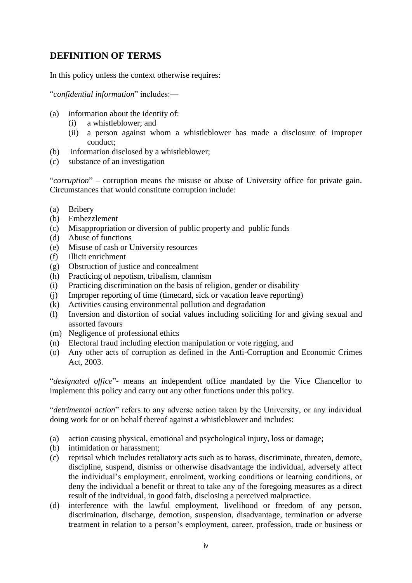# <span id="page-3-0"></span>**DEFINITION OF TERMS**

In this policy unless the context otherwise requires:

"*confidential information*" includes:—

- (a) information about the identity of:
	- (i) a whistleblower; and
	- (ii) a person against whom a whistleblower has made a disclosure of improper conduct;
- (b) information disclosed by a whistleblower;
- (c) substance of an investigation

"*corruption*" – corruption means the misuse or abuse of University office for private gain. Circumstances that would constitute corruption include:

- (a) Bribery
- (b) Embezzlement
- (c) Misappropriation or diversion of public property and public funds
- (d) Abuse of functions
- (e) Misuse of cash or University resources
- (f) Illicit enrichment
- (g) Obstruction of justice and concealment
- (h) Practicing of nepotism, tribalism, clannism
- (i) Practicing discrimination on the basis of religion, gender or disability
- (j) Improper reporting of time (timecard, sick or vacation leave reporting)
- (k) Activities causing environmental pollution and degradation
- (l) Inversion and distortion of social values including soliciting for and giving sexual and assorted favours
- (m) Negligence of professional ethics
- (n) Electoral fraud including election manipulation or vote rigging, and
- (o) Any other acts of corruption as defined in the Anti-Corruption and Economic Crimes Act, 2003.

"*designated office*"- means an independent office mandated by the Vice Chancellor to implement this policy and carry out any other functions under this policy.

"*detrimental action*" refers to any adverse action taken by the University, or any individual doing work for or on behalf thereof against a whistleblower and includes:

- (a) action causing physical, emotional and psychological injury, loss or damage;
- (b) intimidation or harassment;
- (c) reprisal which includes retaliatory acts such as to harass, discriminate, threaten, demote, discipline, suspend, dismiss or otherwise disadvantage the individual, adversely affect the individual's employment, enrolment, working conditions or learning conditions, or deny the individual a benefit or threat to take any of the foregoing measures as a direct result of the individual, in good faith, disclosing a perceived malpractice.
- (d) interference with the lawful employment, livelihood or freedom of any person, discrimination, discharge, demotion, suspension, disadvantage, termination or adverse treatment in relation to a person's employment, career, profession, trade or business or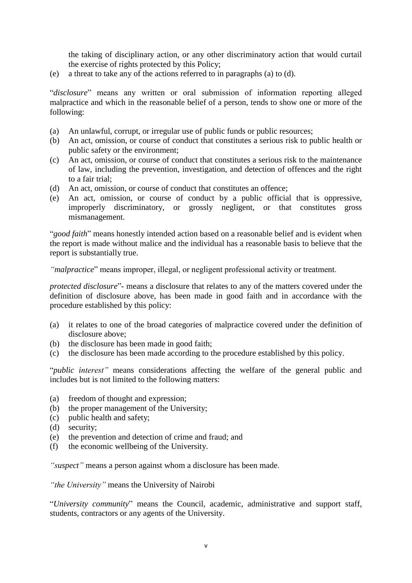the taking of disciplinary action, or any other discriminatory action that would curtail the exercise of rights protected by this Policy;

(e) a threat to take any of the actions referred to in paragraphs (a) to (d).

"*disclosure*" means any written or oral submission of information reporting alleged malpractice and which in the reasonable belief of a person, tends to show one or more of the following:

- (a) An unlawful, corrupt, or irregular use of public funds or public resources;
- (b) An act, omission, or course of conduct that constitutes a serious risk to public health or public safety or the environment;
- (c) An act, omission, or course of conduct that constitutes a serious risk to the maintenance of law, including the prevention, investigation, and detection of offences and the right to a fair trial;
- (d) An act, omission, or course of conduct that constitutes an offence;
- (e) An act, omission, or course of conduct by a public official that is oppressive, improperly discriminatory, or grossly negligent, or that constitutes gross mismanagement.

"*good faith*" means honestly intended action based on a reasonable belief and is evident when the report is made without malice and the individual has a reasonable basis to believe that the report is substantially true.

*"malpractice*" means improper, illegal, or negligent professional activity or treatment.

*protected disclosure*"- means a disclosure that relates to any of the matters covered under the definition of disclosure above, has been made in good faith and in accordance with the procedure established by this policy:

- (a) it relates to one of the broad categories of malpractice covered under the definition of disclosure above;
- (b) the disclosure has been made in good faith;
- (c) the disclosure has been made according to the procedure established by this policy.

"*public interest"* means considerations affecting the welfare of the general public and includes but is not limited to the following matters:

- (a) freedom of thought and expression;
- (b) the proper management of the University;
- (c) public health and safety;
- (d) security;
- (e) the prevention and detection of crime and fraud; and
- (f) the economic wellbeing of the University.

*"suspect"* means a person against whom a disclosure has been made.

*"the University"* means the University of Nairobi

"*University community*" means the Council, academic, administrative and support staff, students, contractors or any agents of the University.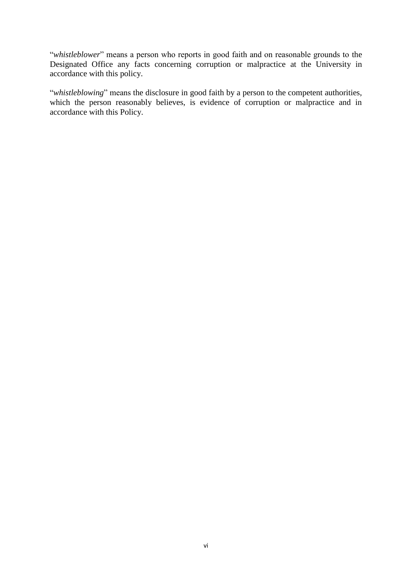"*whistleblower*" means a person who reports in good faith and on reasonable grounds to the Designated Office any facts concerning corruption or malpractice at the University in accordance with this policy.

"*whistleblowing*" means the disclosure in good faith by a person to the competent authorities, which the person reasonably believes, is evidence of corruption or malpractice and in accordance with this Policy.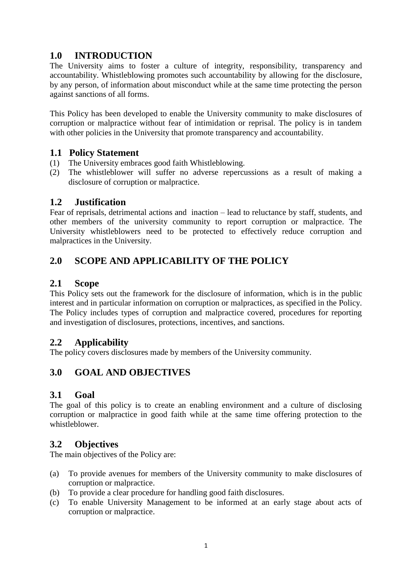# **1.0 INTRODUCTION**

The University aims to foster a culture of integrity, responsibility, transparency and accountability. Whistleblowing promotes such accountability by allowing for the disclosure, by any person, of information about misconduct while at the same time protecting the person against sanctions of all forms.

This Policy has been developed to enable the University community to make disclosures of corruption or malpractice without fear of intimidation or reprisal. The policy is in tandem with other policies in the University that promote transparency and accountability.

### <span id="page-6-0"></span>**1.1 Policy Statement**

- (1) The University embraces good faith Whistleblowing.
- (2) The whistleblower will suffer no adverse repercussions as a result of making a disclosure of corruption or malpractice.

### <span id="page-6-1"></span>**1.2 Justification**

Fear of reprisals, detrimental actions and inaction – lead to reluctance by staff, students, and other members of the university community to report corruption or malpractice. The University whistleblowers need to be protected to effectively reduce corruption and malpractices in the University.

# <span id="page-6-2"></span>**2.0 SCOPE AND APPLICABILITY OF THE POLICY**

### <span id="page-6-3"></span>**2.1 Scope**

This Policy sets out the framework for the disclosure of information, which is in the public interest and in particular information on corruption or malpractices, as specified in the Policy. The Policy includes types of corruption and malpractice covered, procedures for reporting and investigation of disclosures, protections, incentives, and sanctions.

### <span id="page-6-4"></span>**2.2 Applicability**

The policy covers disclosures made by members of the University community.

# <span id="page-6-5"></span>**3.0 GOAL AND OBJECTIVES**

### <span id="page-6-6"></span>**3.1 Goal**

The goal of this policy is to create an enabling environment and a culture of disclosing corruption or malpractice in good faith while at the same time offering protection to the whistleblower.

### <span id="page-6-7"></span>**3.2 Objectives**

The main objectives of the Policy are:

- (a) To provide avenues for members of the University community to make disclosures of corruption or malpractice.
- (b) To provide a clear procedure for handling good faith disclosures.
- (c) To enable University Management to be informed at an early stage about acts of corruption or malpractice.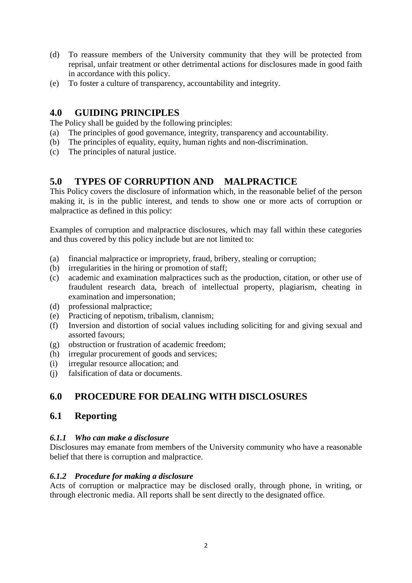- (d) To reassure members of the University community that they will be protected from reprisal, unfair treatment or other detrimental actions for disclosures made in good faith in accordance with this policy.
- (e) To foster a culture of transparency, accountability and integrity.

# <span id="page-7-0"></span>**4.0 GUIDING PRINCIPLES**

The Policy shall be guided by the following principles:

- (a) The principles of good governance, integrity, transparency and accountability.
- (b) The principles of equality, equity, human rights and non-discrimination.
- (c) The principles of natural justice.

# <span id="page-7-1"></span>**5.0 TYPES OF CORRUPTION AND MALPRACTICE**

This Policy covers the disclosure of information which, in the reasonable belief of the person making it, is in the public interest, and tends to show one or more acts of corruption or malpractice as defined in this policy:

Examples of corruption and malpractice disclosures, which may fall within these categories and thus covered by this policy include but are not limited to:

- (a) financial malpractice or impropriety, fraud, bribery, stealing or corruption;
- (b) irregularities in the hiring or promotion of staff;
- (c) academic and examination malpractices such as the production, citation, or other use of fraudulent research data, breach of intellectual property, plagiarism, cheating in examination and impersonation;
- (d) professional malpractice;
- (e) Practicing of nepotism, tribalism, clannism;
- (f) Inversion and distortion of social values including soliciting for and giving sexual and assorted favours;
- (g) obstruction or frustration of academic freedom;
- (h) irregular procurement of goods and services;
- (i) irregular resource allocation; and
- (j) falsification of data or documents.

# **6.0 PROCEDURE FOR DEALING WITH DISCLOSURES**

# <span id="page-7-2"></span>**6.1 Reporting**

### *6.1.1 Who can make a disclosure*

Disclosures may emanate from members of the University community who have a reasonable belief that there is corruption and malpractice.

### *6.1.2 Procedure for making a disclosure*

Acts of corruption or malpractice may be disclosed orally, through phone, in writing, or through electronic media. All reports shall be sent directly to the designated office.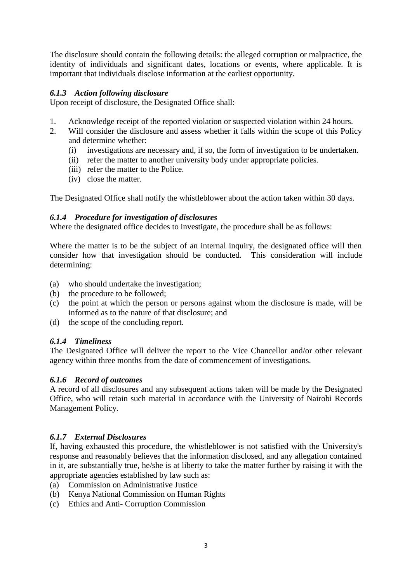The disclosure should contain the following details: the alleged corruption or malpractice, the identity of individuals and significant dates, locations or events, where applicable. It is important that individuals disclose information at the earliest opportunity.

#### *6.1.3 Action following disclosure*

Upon receipt of disclosure, the Designated Office shall:

- 1. Acknowledge receipt of the reported violation or suspected violation within 24 hours.
- 2. Will consider the disclosure and assess whether it falls within the scope of this Policy and determine whether:
	- (i) investigations are necessary and, if so, the form of investigation to be undertaken.
	- (ii) refer the matter to another university body under appropriate policies.
	- (iii) refer the matter to the Police.
	- (iv) close the matter.

The Designated Office shall notify the whistleblower about the action taken within 30 days.

#### *6.1.4 Procedure for investigation of disclosures*

Where the designated office decides to investigate, the procedure shall be as follows:

Where the matter is to be the subject of an internal inquiry, the designated office will then consider how that investigation should be conducted. This consideration will include determining:

- (a) who should undertake the investigation;
- (b) the procedure to be followed;
- (c) the point at which the person or persons against whom the disclosure is made, will be informed as to the nature of that disclosure; and
- (d) the scope of the concluding report.

#### *6.1.4 Timeliness*

The Designated Office will deliver the report to the Vice Chancellor and/or other relevant agency within three months from the date of commencement of investigations.

#### *6.1.6 Record of outcomes*

A record of all disclosures and any subsequent actions taken will be made by the Designated Office, who will retain such material in accordance with the University of Nairobi Records Management Policy.

#### *6.1.7 External Disclosures*

If, having exhausted this procedure, the whistleblower is not satisfied with the University's response and reasonably believes that the information disclosed, and any allegation contained in it, are substantially true, he/she is at liberty to take the matter further by raising it with the appropriate agencies established by law such as:

- (a) Commission on Administrative Justice
- (b) Kenya National Commission on Human Rights
- (c) Ethics and Anti- Corruption Commission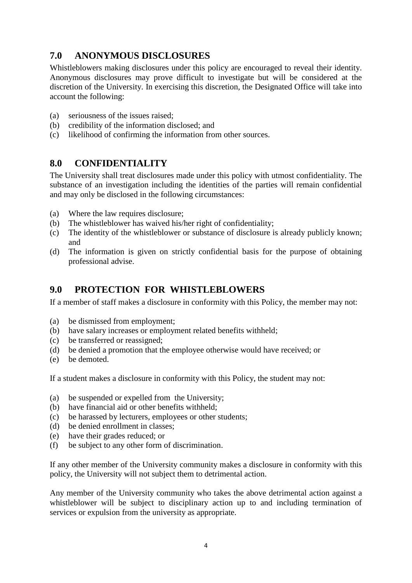# <span id="page-9-0"></span>**7.0 ANONYMOUS DISCLOSURES**

Whistleblowers making disclosures under this policy are encouraged to reveal their identity. Anonymous disclosures may prove difficult to investigate but will be considered at the discretion of the University. In exercising this discretion, the Designated Office will take into account the following:

- (a) seriousness of the issues raised;
- (b) credibility of the information disclosed; and
- (c) likelihood of confirming the information from other sources.

### <span id="page-9-1"></span>**8.0 CONFIDENTIALITY**

The University shall treat disclosures made under this policy with utmost confidentiality. The substance of an investigation including the identities of the parties will remain confidential and may only be disclosed in the following circumstances:

- (a) Where the law requires disclosure;
- (b) The whistleblower has waived his/her right of confidentiality;
- (c) The identity of the whistleblower or substance of disclosure is already publicly known; and
- (d) The information is given on strictly confidential basis for the purpose of obtaining professional advise.

# <span id="page-9-2"></span>**9.0 PROTECTION FOR WHISTLEBLOWERS**

If a member of staff makes a disclosure in conformity with this Policy, the member may not:

- (a) be dismissed from employment;
- (b) have salary increases or employment related benefits withheld;
- (c) be transferred or reassigned;
- (d) be denied a promotion that the employee otherwise would have received; or
- (e) be demoted.

If a student makes a disclosure in conformity with this Policy, the student may not:

- (a) be suspended or expelled from the University;
- (b) have financial aid or other benefits withheld;
- (c) be harassed by lecturers, employees or other students;
- (d) be denied enrollment in classes;
- (e) have their grades reduced; or
- (f) be subject to any other form of discrimination.

If any other member of the University community makes a disclosure in conformity with this policy, the University will not subject them to detrimental action.

Any member of the University community who takes the above detrimental action against a whistleblower will be subject to disciplinary action up to and including termination of services or expulsion from the university as appropriate.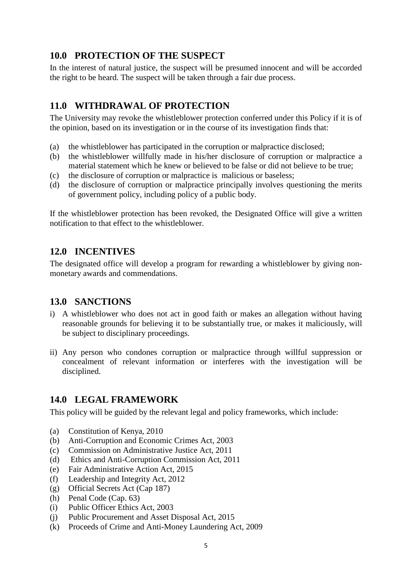# <span id="page-10-0"></span>**10.0 PROTECTION OF THE SUSPECT**

In the interest of natural justice, the suspect will be presumed innocent and will be accorded the right to be heard. The suspect will be taken through a fair due process.

# <span id="page-10-1"></span>**11.0 WITHDRAWAL OF PROTECTION**

The University may revoke the whistleblower protection conferred under this Policy if it is of the opinion, based on its investigation or in the course of its investigation finds that:

- (a) the whistleblower has participated in the corruption or malpractice disclosed;
- (b) the whistleblower willfully made in his/her disclosure of corruption or malpractice a material statement which he knew or believed to be false or did not believe to be true;
- (c) the disclosure of corruption or malpractice is malicious or baseless;
- (d) the disclosure of corruption or malpractice principally involves questioning the merits of government policy, including policy of a public body.

If the whistleblower protection has been revoked, the Designated Office will give a written notification to that effect to the whistleblower.

### <span id="page-10-2"></span>**12.0 INCENTIVES**

The designated office will develop a program for rewarding a whistleblower by giving nonmonetary awards and commendations.

### <span id="page-10-3"></span>**13.0 SANCTIONS**

- i) A whistleblower who does not act in good faith or makes an allegation without having reasonable grounds for believing it to be substantially true, or makes it maliciously, will be subject to disciplinary proceedings.
- ii) Any person who condones corruption or malpractice through willful suppression or concealment of relevant information or interferes with the investigation will be disciplined.

### <span id="page-10-4"></span>**14.0 LEGAL FRAMEWORK**

This policy will be guided by the relevant legal and policy frameworks, which include:

- (a) Constitution of Kenya, 2010
- (b) Anti-Corruption and Economic Crimes Act, 2003
- (c) Commission on Administrative Justice Act, 2011
- (d) Ethics and Anti-Corruption Commission Act, 2011
- (e) Fair Administrative Action Act, 2015
- (f) Leadership and Integrity Act, 2012
- (g) Official Secrets Act (Cap 187)
- (h) Penal Code (Cap. 63)
- (i) Public Officer Ethics Act, 2003
- (j) Public Procurement and Asset Disposal Act, 2015
- (k) Proceeds of Crime and Anti-Money Laundering Act, 2009